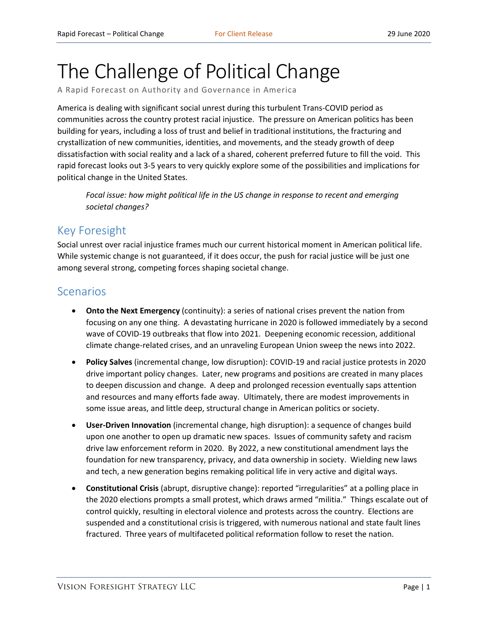# The Challenge of Political Change

A Rapid Forecast on Authority and Governance in America

America is dealing with significant social unrest during this turbulent Trans-COVID period as communities across the country protest racial injustice. The pressure on American politics has been building for years, including a loss of trust and belief in traditional institutions, the fracturing and crystallization of new communities, identities, and movements, and the steady growth of deep dissatisfaction with social reality and a lack of a shared, coherent preferred future to fill the void. This rapid forecast looks out 3-5 years to very quickly explore some of the possibilities and implications for political change in the United States.

*Focal issue: how might political life in the US change in response to recent and emerging societal changes?*

## Key Foresight

Social unrest over racial injustice frames much our current historical moment in American political life. While systemic change is not guaranteed, if it does occur, the push for racial justice will be just one among several strong, competing forces shaping societal change.

### Scenarios

- **Onto the Next Emergency** (continuity): a series of national crises prevent the nation from focusing on any one thing. A devastating hurricane in 2020 is followed immediately by a second wave of COVID-19 outbreaks that flow into 2021. Deepening economic recession, additional climate change-related crises, and an unraveling European Union sweep the news into 2022.
- **Policy Salves** (incremental change, low disruption): COVID-19 and racial justice protests in 2020 drive important policy changes. Later, new programs and positions are created in many places to deepen discussion and change. A deep and prolonged recession eventually saps attention and resources and many efforts fade away. Ultimately, there are modest improvements in some issue areas, and little deep, structural change in American politics or society.
- **User-Driven Innovation** (incremental change, high disruption): a sequence of changes build upon one another to open up dramatic new spaces. Issues of community safety and racism drive law enforcement reform in 2020. By 2022, a new constitutional amendment lays the foundation for new transparency, privacy, and data ownership in society. Wielding new laws and tech, a new generation begins remaking political life in very active and digital ways.
- **Constitutional Crisis** (abrupt, disruptive change): reported "irregularities" at a polling place in the 2020 elections prompts a small protest, which draws armed "militia." Things escalate out of control quickly, resulting in electoral violence and protests across the country. Elections are suspended and a constitutional crisis is triggered, with numerous national and state fault lines fractured. Three years of multifaceted political reformation follow to reset the nation.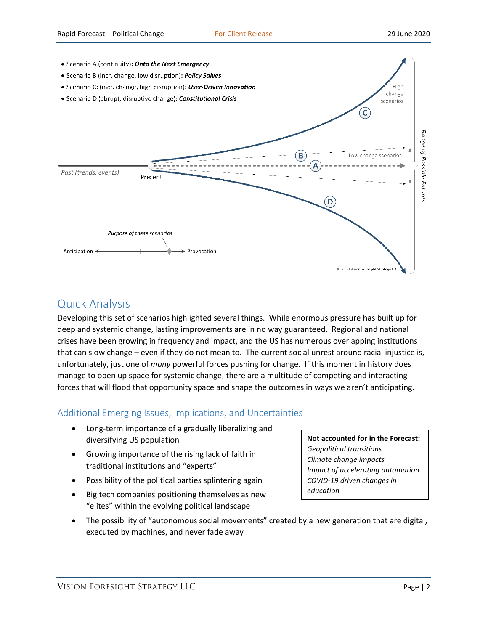

# Quick Analysis

Developing this set of scenarios highlighted several things. While enormous pressure has built up for deep and systemic change, lasting improvements are in no way guaranteed. Regional and national crises have been growing in frequency and impact, and the US has numerous overlapping institutions that can slow change – even if they do not mean to. The current social unrest around racial injustice is, unfortunately, just one of *many* powerful forces pushing for change. If this moment in history does manage to open up space for systemic change, there are a multitude of competing and interacting forces that will flood that opportunity space and shape the outcomes in ways we aren't anticipating.

#### Additional Emerging Issues, Implications, and Uncertainties

- Long-term importance of a gradually liberalizing and diversifying US population
- Growing importance of the rising lack of faith in traditional institutions and "experts"
- Possibility of the political parties splintering again
- Big tech companies positioning themselves as new "elites" within the evolving political landscape
- The possibility of "autonomous social movements" created by a new generation that are digital, executed by machines, and never fade away

**Not accounted for in the Forecast:** *Geopolitical transitions Climate change impacts Impact of accelerating automation COVID-19 driven changes in education*